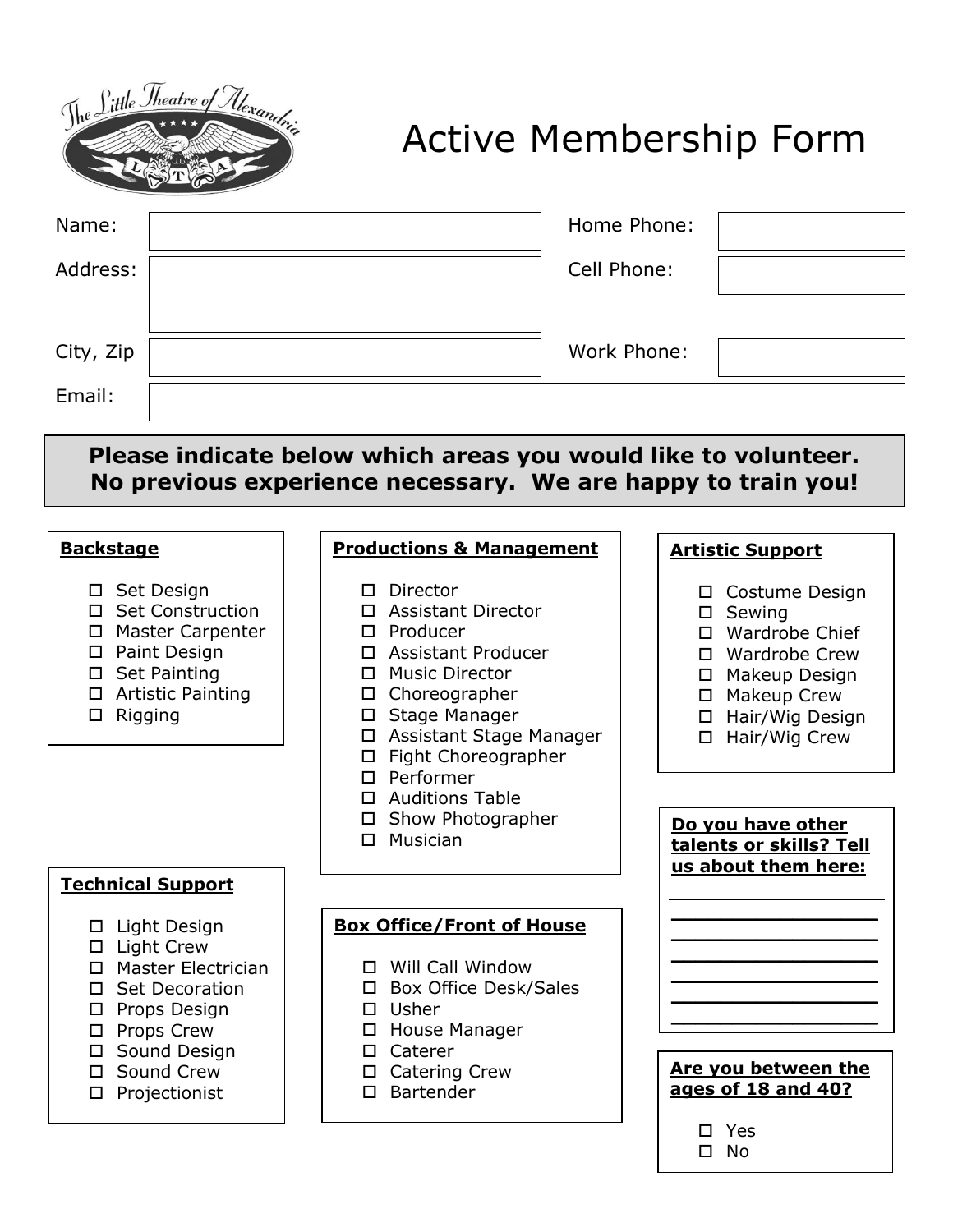

## Active Membership Form

| Name:<br>Address:<br>City, Zip<br>Email:                                                                                                                                                                                               | Cell Phone:                                                                                                                                                                                                                                                                                                                      | Home Phone:<br>Work Phone:                                                                                                                                                                                                        |  |
|----------------------------------------------------------------------------------------------------------------------------------------------------------------------------------------------------------------------------------------|----------------------------------------------------------------------------------------------------------------------------------------------------------------------------------------------------------------------------------------------------------------------------------------------------------------------------------|-----------------------------------------------------------------------------------------------------------------------------------------------------------------------------------------------------------------------------------|--|
| Please indicate below which areas you would like to volunteer.<br>No previous experience necessary. We are happy to train you!                                                                                                         |                                                                                                                                                                                                                                                                                                                                  |                                                                                                                                                                                                                                   |  |
| <b>Backstage</b>                                                                                                                                                                                                                       | <b>Productions &amp; Management</b>                                                                                                                                                                                                                                                                                              | <b>Artistic Support</b>                                                                                                                                                                                                           |  |
| □ Set Design<br><b>Set Construction</b><br>П.<br><b>Master Carpenter</b><br>$\Box$<br>Paint Design<br>□<br><b>Set Painting</b><br>$\Box$<br><b>Artistic Painting</b><br>$\Box$<br>Rigging<br>□                                         | Director<br>0<br><b>Assistant Director</b><br>П<br>Producer<br>П.<br><b>Assistant Producer</b><br>П<br><b>Music Director</b><br>П<br>$\Box$ Choreographer<br>□ Stage Manager<br>Assistant Stage Manager<br>$\Box$<br>Fight Choreographer<br>□<br>$\square$ Performer<br>□ Auditions Table<br>Show Photographer<br>Musician<br>п. | Costume Design<br>Sewing<br>□<br>Wardrobe Chief<br><b>Wardrobe Crew</b><br>П.<br>□ Makeup Design<br>□ Makeup Crew<br>Hair/Wig Design<br>Hair/Wig Crew<br>0<br>Do you have other<br>talents or skills? Tell<br>us about them here: |  |
| <b>Technical Support</b>                                                                                                                                                                                                               |                                                                                                                                                                                                                                                                                                                                  |                                                                                                                                                                                                                                   |  |
| Light Design<br>$\Box$<br>Light Crew<br>$\Box$<br><b>Master Electrician</b><br>П.<br><b>Set Decoration</b><br>П.<br>Props Design<br>$\Box$<br>Props Crew<br>$\Box$<br>Sound Design<br>0.<br>Sound Crew<br>0<br>Projectionist<br>$\Box$ | <b>Box Office/Front of House</b><br>□ Will Call Window<br>Box Office Desk/Sales<br>Usher<br>$\Box$<br>House Manager<br>$\Box$<br>Caterer<br>$\Box$<br><b>Catering Crew</b><br>□<br><b>Bartender</b><br>П.                                                                                                                        | Are you between the<br>ages of 18 and 40?                                                                                                                                                                                         |  |
|                                                                                                                                                                                                                                        |                                                                                                                                                                                                                                                                                                                                  | $\square$ Yes<br>$\square$ No                                                                                                                                                                                                     |  |